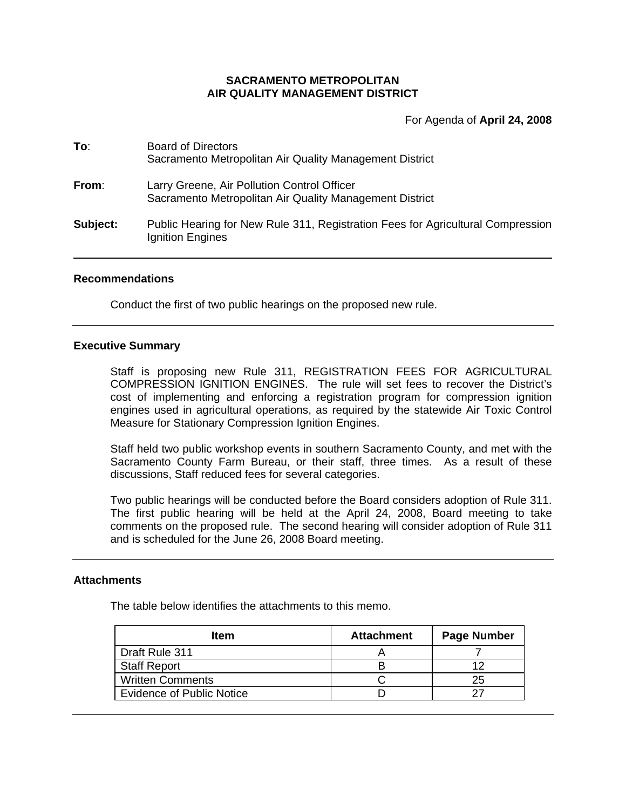# **SACRAMENTO METROPOLITAN AIR QUALITY MANAGEMENT DISTRICT**

For Agenda of **April 24, 2008**

| To:      | <b>Board of Directors</b><br>Sacramento Metropolitan Air Quality Management District                   |
|----------|--------------------------------------------------------------------------------------------------------|
| From:    | Larry Greene, Air Pollution Control Officer<br>Sacramento Metropolitan Air Quality Management District |
| Subject: | Public Hearing for New Rule 311, Registration Fees for Agricultural Compression<br>Ignition Engines    |

### **Recommendations**

Conduct the first of two public hearings on the proposed new rule.

### **Executive Summary**

Staff is proposing new Rule 311, REGISTRATION FEES FOR AGRICULTURAL COMPRESSION IGNITION ENGINES. The rule will set fees to recover the District's cost of implementing and enforcing a registration program for compression ignition engines used in agricultural operations, as required by the statewide Air Toxic Control Measure for Stationary Compression Ignition Engines.

Staff held two public workshop events in southern Sacramento County, and met with the Sacramento County Farm Bureau, or their staff, three times. As a result of these discussions, Staff reduced fees for several categories.

Two public hearings will be conducted before the Board considers adoption of Rule 311. The first public hearing will be held at the April 24, 2008, Board meeting to take comments on the proposed rule. The second hearing will consider adoption of Rule 311 and is scheduled for the June 26, 2008 Board meeting.

#### **Attachments**

The table below identifies the attachments to this memo.

| <b>Item</b>                      | <b>Attachment</b> | Page Number |
|----------------------------------|-------------------|-------------|
| Draft Rule 311                   |                   |             |
| <b>Staff Report</b>              |                   | ィっ          |
| <b>Written Comments</b>          |                   | 25          |
| <b>Evidence of Public Notice</b> |                   |             |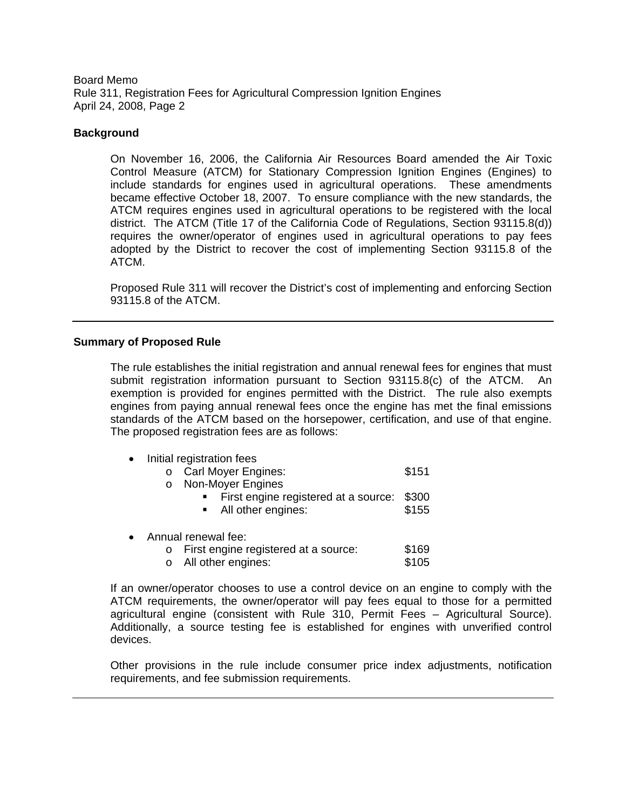## **Background**

On November 16, 2006, the California Air Resources Board amended the Air Toxic Control Measure (ATCM) for Stationary Compression Ignition Engines (Engines) to include standards for engines used in agricultural operations. These amendments became effective October 18, 2007. To ensure compliance with the new standards, the ATCM requires engines used in agricultural operations to be registered with the local district. The ATCM (Title 17 of the California Code of Regulations, Section 93115.8(d)) requires the owner/operator of engines used in agricultural operations to pay fees adopted by the District to recover the cost of implementing Section 93115.8 of the ATCM.

Proposed Rule 311 will recover the District's cost of implementing and enforcing Section 93115.8 of the ATCM.

## **Summary of Proposed Rule**

The rule establishes the initial registration and annual renewal fees for engines that must submit registration information pursuant to Section 93115.8(c) of the ATCM. An exemption is provided for engines permitted with the District. The rule also exempts engines from paying annual renewal fees once the engine has met the final emissions standards of the ATCM based on the horsepower, certification, and use of that engine. The proposed registration fees are as follows:

- Initial registration fees
	- o Carl Moyer Engines: \$151
	- o Non-Moyer Engines
		- First engine registered at a source: \$300 **All other engines:** \$155
- Annual renewal fee:
	- o First engine registered at a source: \$169<br>
	o All other engines: \$105  $\circ$  All other engines:

If an owner/operator chooses to use a control device on an engine to comply with the ATCM requirements, the owner/operator will pay fees equal to those for a permitted agricultural engine (consistent with Rule 310, Permit Fees – Agricultural Source). Additionally, a source testing fee is established for engines with unverified control devices.

Other provisions in the rule include consumer price index adjustments, notification requirements, and fee submission requirements.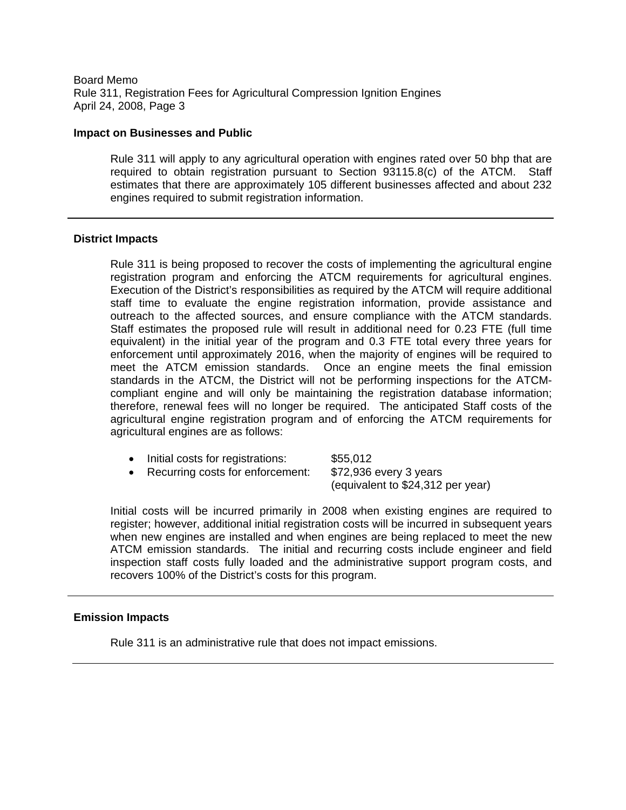#### **Impact on Businesses and Public**

Rule 311 will apply to any agricultural operation with engines rated over 50 bhp that are required to obtain registration pursuant to Section 93115.8(c) of the ATCM. Staff estimates that there are approximately 105 different businesses affected and about 232 engines required to submit registration information.

## **District Impacts**

Rule 311 is being proposed to recover the costs of implementing the agricultural engine registration program and enforcing the ATCM requirements for agricultural engines. Execution of the District's responsibilities as required by the ATCM will require additional staff time to evaluate the engine registration information, provide assistance and outreach to the affected sources, and ensure compliance with the ATCM standards. Staff estimates the proposed rule will result in additional need for 0.23 FTE (full time equivalent) in the initial year of the program and 0.3 FTE total every three years for enforcement until approximately 2016, when the majority of engines will be required to meet the ATCM emission standards. Once an engine meets the final emission standards in the ATCM, the District will not be performing inspections for the ATCMcompliant engine and will only be maintaining the registration database information; therefore, renewal fees will no longer be required. The anticipated Staff costs of the agricultural engine registration program and of enforcing the ATCM requirements for agricultural engines are as follows:

- Initial costs for registrations: \$55,012
- Recurring costs for enforcement: \$72,936 every 3 years

(equivalent to \$24,312 per year)

Initial costs will be incurred primarily in 2008 when existing engines are required to register; however, additional initial registration costs will be incurred in subsequent years when new engines are installed and when engines are being replaced to meet the new ATCM emission standards. The initial and recurring costs include engineer and field inspection staff costs fully loaded and the administrative support program costs, and recovers 100% of the District's costs for this program.

#### **Emission Impacts**

Rule 311 is an administrative rule that does not impact emissions.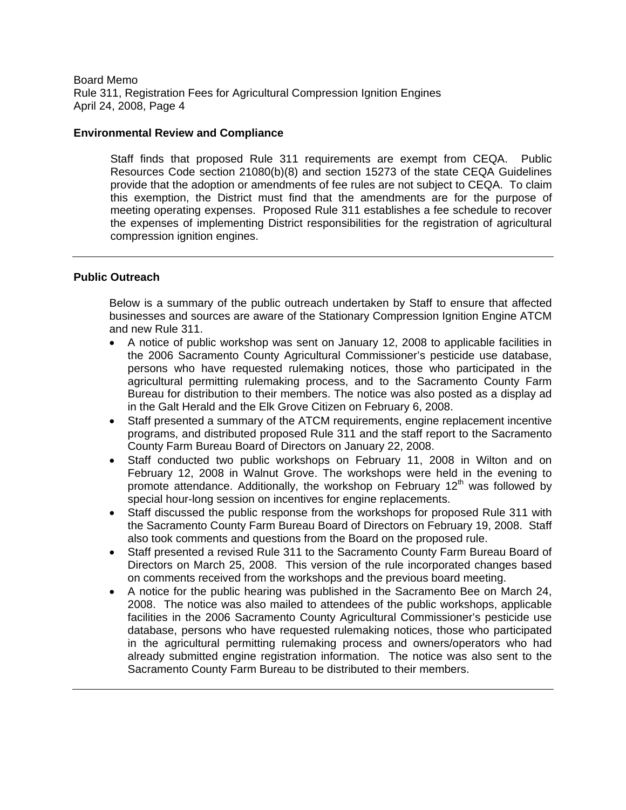### **Environmental Review and Compliance**

Staff finds that proposed Rule 311 requirements are exempt from CEQA. Public Resources Code section 21080(b)(8) and section 15273 of the state CEQA Guidelines provide that the adoption or amendments of fee rules are not subject to CEQA. To claim this exemption, the District must find that the amendments are for the purpose of meeting operating expenses. Proposed Rule 311 establishes a fee schedule to recover the expenses of implementing District responsibilities for the registration of agricultural compression ignition engines.

## **Public Outreach**

Below is a summary of the public outreach undertaken by Staff to ensure that affected businesses and sources are aware of the Stationary Compression Ignition Engine ATCM and new Rule 311.

- A notice of public workshop was sent on January 12, 2008 to applicable facilities in the 2006 Sacramento County Agricultural Commissioner's pesticide use database, persons who have requested rulemaking notices, those who participated in the agricultural permitting rulemaking process, and to the Sacramento County Farm Bureau for distribution to their members. The notice was also posted as a display ad in the Galt Herald and the Elk Grove Citizen on February 6, 2008.
- Staff presented a summary of the ATCM requirements, engine replacement incentive programs, and distributed proposed Rule 311 and the staff report to the Sacramento County Farm Bureau Board of Directors on January 22, 2008.
- Staff conducted two public workshops on February 11, 2008 in Wilton and on February 12, 2008 in Walnut Grove. The workshops were held in the evening to promote attendance. Additionally, the workshop on February 12<sup>th</sup> was followed by special hour-long session on incentives for engine replacements.
- Staff discussed the public response from the workshops for proposed Rule 311 with the Sacramento County Farm Bureau Board of Directors on February 19, 2008. Staff also took comments and questions from the Board on the proposed rule.
- Staff presented a revised Rule 311 to the Sacramento County Farm Bureau Board of Directors on March 25, 2008. This version of the rule incorporated changes based on comments received from the workshops and the previous board meeting.
- A notice for the public hearing was published in the Sacramento Bee on March 24, 2008. The notice was also mailed to attendees of the public workshops, applicable facilities in the 2006 Sacramento County Agricultural Commissioner's pesticide use database, persons who have requested rulemaking notices, those who participated in the agricultural permitting rulemaking process and owners/operators who had already submitted engine registration information. The notice was also sent to the Sacramento County Farm Bureau to be distributed to their members.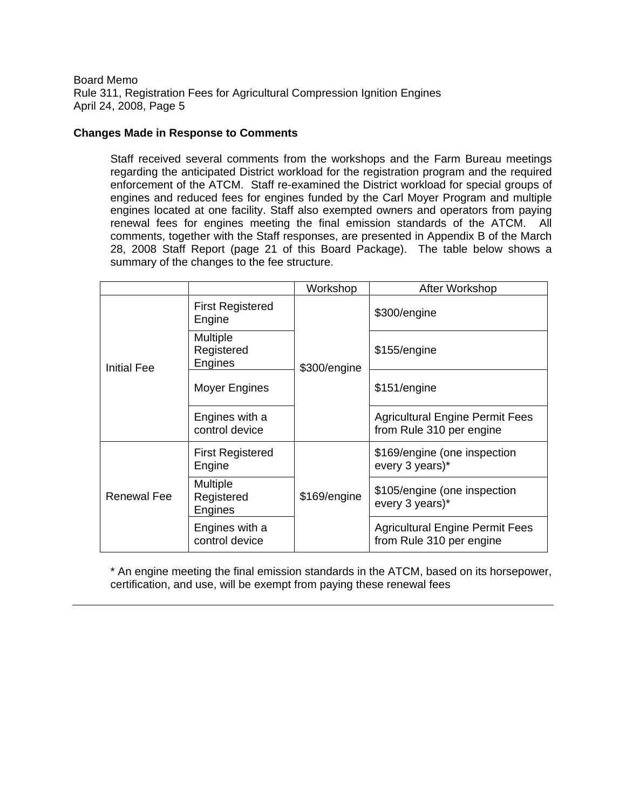# **Changes Made in Response to Comments**

Staff received several comments from the workshops and the Farm Bureau meetings regarding the anticipated District workload for the registration program and the required enforcement of the ATCM. Staff re-examined the District workload for special groups of engines and reduced fees for engines funded by the Carl Moyer Program and multiple engines located at one facility. Staff also exempted owners and operators from paying renewal fees for engines meeting the final emission standards of the ATCM. All comments, together with the Staff responses, are presented in Appendix B of the March 28, 2008 Staff Report (page 21 of this Board Package). The table below shows a summary of the changes to the fee structure.

|                    |                                          | Workshop     | After Workshop                                                     |
|--------------------|------------------------------------------|--------------|--------------------------------------------------------------------|
|                    | <b>First Registered</b><br>Engine        |              | \$300/engine                                                       |
| <b>Initial Fee</b> | Multiple<br>Registered<br>Engines        | \$300/engine | \$155/engine                                                       |
|                    | Moyer Engines                            |              | \$151/engine                                                       |
|                    | Engines with a<br>control device         |              | <b>Agricultural Engine Permit Fees</b><br>from Rule 310 per engine |
|                    | <b>First Registered</b><br>Engine        |              | \$169/engine (one inspection<br>every 3 years)*                    |
| <b>Renewal Fee</b> | <b>Multiple</b><br>Registered<br>Engines | \$169/engine | \$105/engine (one inspection<br>every 3 years)*                    |
|                    | Engines with a<br>control device         |              | <b>Agricultural Engine Permit Fees</b><br>from Rule 310 per engine |

\* An engine meeting the final emission standards in the ATCM, based on its horsepower, certification, and use, will be exempt from paying these renewal fees